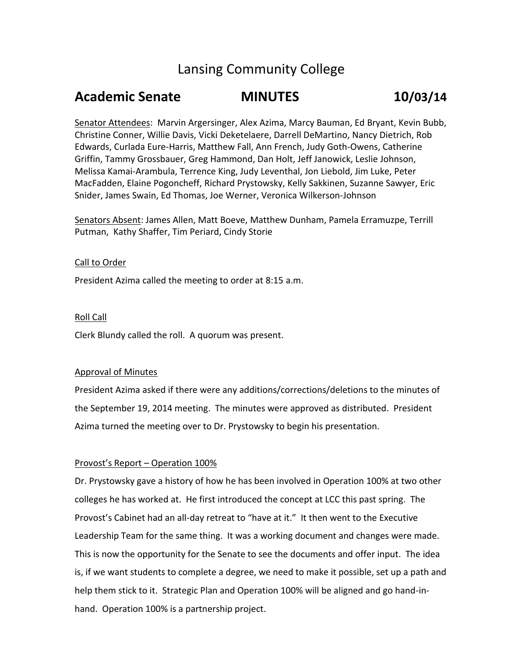# Lansing Community College

## **Academic Senate MINUTES 10/03/14**

Senator Attendees: Marvin Argersinger, Alex Azima, Marcy Bauman, Ed Bryant, Kevin Bubb, Christine Conner, Willie Davis, Vicki Deketelaere, Darrell DeMartino, Nancy Dietrich, Rob Edwards, Curlada Eure-Harris, Matthew Fall, Ann French, Judy Goth-Owens, Catherine Griffin, Tammy Grossbauer, Greg Hammond, Dan Holt, Jeff Janowick, Leslie Johnson, Melissa Kamai-Arambula, Terrence King, Judy Leventhal, Jon Liebold, Jim Luke, Peter MacFadden, Elaine Pogoncheff, Richard Prystowsky, Kelly Sakkinen, Suzanne Sawyer, Eric Snider, James Swain, Ed Thomas, Joe Werner, Veronica Wilkerson-Johnson

Senators Absent: James Allen, Matt Boeve, Matthew Dunham, Pamela Erramuzpe, Terrill Putman, Kathy Shaffer, Tim Periard, Cindy Storie

## Call to Order

President Azima called the meeting to order at 8:15 a.m.

#### Roll Call

Clerk Blundy called the roll. A quorum was present.

#### Approval of Minutes

President Azima asked if there were any additions/corrections/deletions to the minutes of the September 19, 2014 meeting. The minutes were approved as distributed. President Azima turned the meeting over to Dr. Prystowsky to begin his presentation.

## Provost's Report – Operation 100%

Dr. Prystowsky gave a history of how he has been involved in Operation 100% at two other colleges he has worked at. He first introduced the concept at LCC this past spring. The Provost's Cabinet had an all-day retreat to "have at it." It then went to the Executive Leadership Team for the same thing. It was a working document and changes were made. This is now the opportunity for the Senate to see the documents and offer input. The idea is, if we want students to complete a degree, we need to make it possible, set up a path and help them stick to it. Strategic Plan and Operation 100% will be aligned and go hand-inhand. Operation 100% is a partnership project.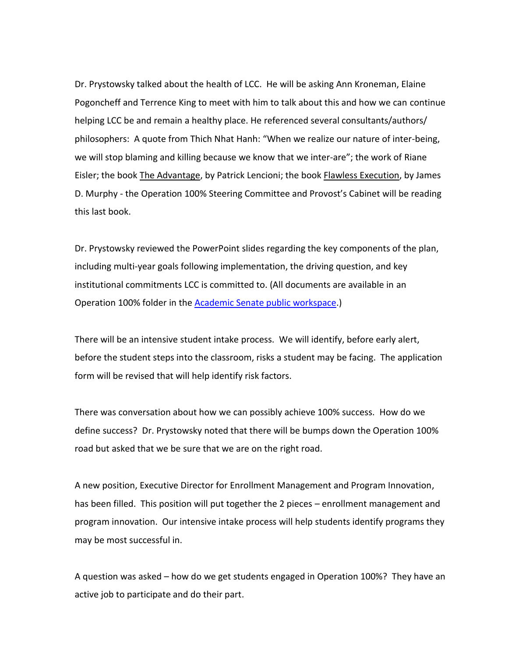Dr. Prystowsky talked about the health of LCC. He will be asking Ann Kroneman, Elaine Pogoncheff and Terrence King to meet with him to talk about this and how we can continue helping LCC be and remain a healthy place. He referenced several consultants/authors/ philosophers: A quote from Thich Nhat Hanh: "When we realize our nature of inter-being, we will stop blaming and killing because we know that we inter-are"; the work of Riane Eisler; the book The Advantage, by Patrick Lencioni; the book Flawless Execution, by James D. Murphy - the Operation 100% Steering Committee and Provost's Cabinet will be reading this last book.

Dr. Prystowsky reviewed the PowerPoint slides regarding the key components of the plan, including multi-year goals following implementation, the driving question, and key institutional commitments LCC is committed to. (All documents are available in an Operation 100% folder in the [Academic Senate public workspace.](file://fleetwood/lcc-all-public/Exec-Public/Provost-Office-Public/Academic-Senate-Public/Documents/Operation%20100%25%20Documents))

There will be an intensive student intake process. We will identify, before early alert, before the student steps into the classroom, risks a student may be facing. The application form will be revised that will help identify risk factors.

There was conversation about how we can possibly achieve 100% success. How do we define success? Dr. Prystowsky noted that there will be bumps down the Operation 100% road but asked that we be sure that we are on the right road.

A new position, Executive Director for Enrollment Management and Program Innovation, has been filled. This position will put together the 2 pieces – enrollment management and program innovation. Our intensive intake process will help students identify programs they may be most successful in.

A question was asked – how do we get students engaged in Operation 100%? They have an active job to participate and do their part.